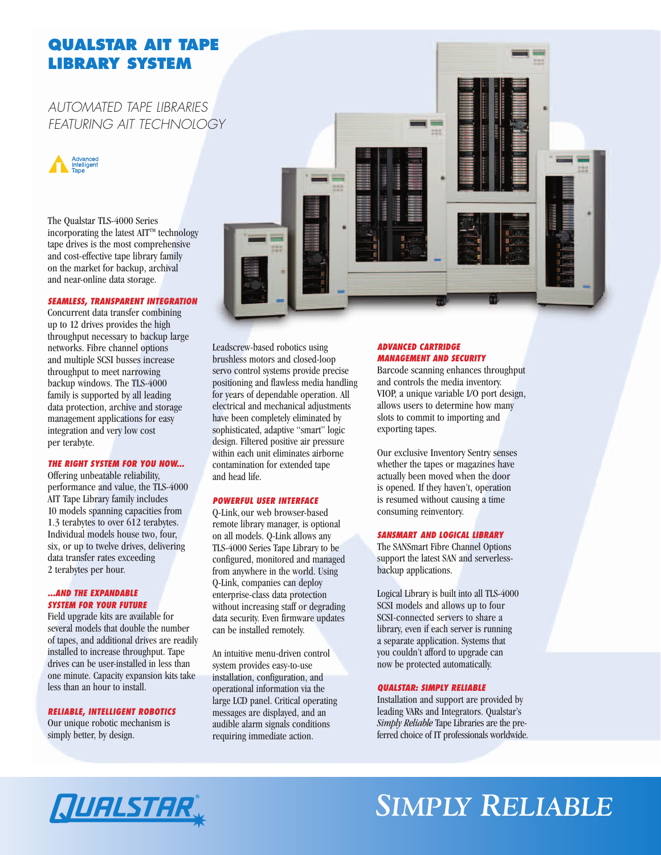### **QUALSTAR AIT TAPE LIBRARY SYSTEM**

### *AUTOMATED TAPE LIBRARIES FEATURING AIT TECHNOLOGY*



The Qualstar TLS-4000 Series incorporating the latest  $\text{AIT}^{\text{TM}}$  technology tape drives is the most comprehensive and cost-effective tape library family on the market for backup, archival and near-online data storage.

#### *SEAMLESS, TRANSPARENT INTEGRATION*

Concurrent data transfer combining up to 12 drives provides the high throughput necessary to backup large networks. Fibre channel options and multiple SCSI busses increase throughput to meet narrowing backup windows. The TLS-4000 family is supported by all leading data protection, archive and storage management applications for easy integration and very low cost per terabyte.

### *THE RIGHT SYSTEM FOR YOU NOW...*

Offering unbeatable reliability, performance and value, the TLS-4000 AIT Tape Library family includes 10 models spanning capacities from 1.3 terabytes to over 612 terabytes. Individual models house two, four, six, or up to twelve drives, delivering data transfer rates exceeding 2 terabytes per hour.

#### *...AND THE EXPANDABLE SYSTEM FOR YOUR FUTURE*

Field upgrade kits are available for several models that double the number of tapes, and additional drives are readily installed to increase throughput. Tape drives can be user-installed in less than one minute. Capacity expansion kits take less than an hour to install.

### *RELIABLE, INTELLIGENT ROBOTICS*

Our unique robotic mechanism is simply better, by design.



Leadscrew-based robotics using brushless motors and closed-loop servo control systems provide precise positioning and flawless media handling for years of dependable operation. All electrical and mechanical adjustments have been completely eliminated by sophisticated, adaptive "smart" logic design. Filtered positive air pressure within each unit eliminates airborne contamination for extended tape and head life.

#### *POWERFUL USER INTERFACE*

Q-Link, our web browser-based remote library manager, is optional on all models. Q-Link allows any TLS-4000 Series Tape Library to be configured, monitored and managed from anywhere in the world. Using Q-Link, companies can deploy enterprise-class data protection without increasing staff or degrading data security. Even firmware updates can be installed remotely.

An intuitive menu-driven control system provides easy-to-use installation, configuration, and operational information via the large LCD panel. Critical operating messages are displayed, and an audible alarm signals conditions requiring immediate action.

### *ADVANCED CARTRIDGE MANAGEMENT AND SECURITY*

Barcode scanning enhances throughput and controls the media inventory. VIOP, a unique variable I/O port design, allows users to determine how many slots to commit to importing and exporting tapes.

Our exclusive Inventory Sentry senses whether the tapes or magazines have actually been moved when the door is opened. If they haven't, operation is resumed without causing a time consuming reinventory.

#### *SANSMART AND LOGICAL LIBRARY*

The SANSmart Fibre Channel Options support the latest SAN and serverlessbackup applications.

Logical Library is built into all TLS-4000 SCSI models and allows up to four SCSI-connected servers to share a library, even if each server is running a separate application. Systems that you couldn't afford to upgrade can now be protected automatically.

### *QUALSTAR: SIMPLY RELIABLE*

Installation and support are provided by leading VARs and Integrators. Qualstar's *Simply Reliable* Tape Libraries are the preferred choice of IT professionals worldwide.

## *SIMPLY RELIABLE*